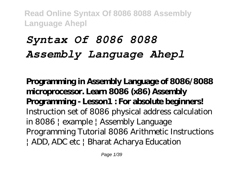# *Syntax Of 8086 8088 Assembly Language Ahepl*

**Programming in Assembly Language of 8086/8088 microprocessor. Learn 8086 (x86) Assembly Programming - Lesson1 : For absolute beginners!** *Instruction set of 8086* physical address calculation in 8086 | example | Assembly Language Programming Tutorial 8086 Arithmetic Instructions | ADD, ADC etc | Bharat Acharya Education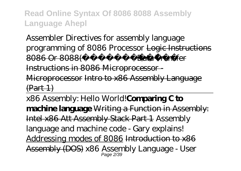Assembler Directives for assembly language programming of 8086 Processor Logic Instructions 8086 Or 8088(**Fransfer**) Data Transfer Instructions in 8086 Microprocessor - Microprocessor Intro to x86 Assembly Language  $(Part 1)$ 

x86 Assembly: Hello World!**Comparing C to machine language** Writing a Function in Assembly: Intel x86 Att Assembly Stack Part 1 Assembly language and machine code - Gary explains! Addressing modes of 8086 Introduction to x86 Assembly (DOS) *x86 Assembly Language - User* Page 2/39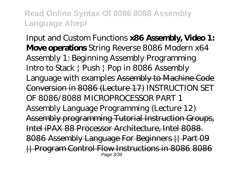*Input and Custom Functions* **x86 Assembly, Video 1: Move operations** *String Reverse 8086* Modern x64 Assembly 1: Beginning Assembly Programming Intro to Stack | Push | Pop in 8086 Assembly Language with examples Assembly to Machine Code Conversion in 8086 (Lecture 17) *INSTRUCTION SET OF 8086/8088 MICROPROCESSOR PART 1 Assembly Language Programming (Lecture 12)* Assembly programming Tutorial Instruction Groups, Intel iPAX 88 Processor Architecture, Intel 8088. 8086 Assembly Language For Beginners || Part 09 || Program Control Flow Instructions in 8086 8086 Page 3/39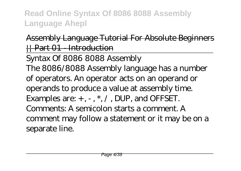### Assembly Language Tutorial For Absolute Beginners || Part 01 - Introduction

Syntax Of 8086 8088 Assembly The 8086/8088 Assembly language has a number of operators. An operator acts on an operand or operands to produce a value at assembly time. Examples are: + , - , \*, / , DUP, and OFFSET. Comments: A semicolon starts a comment. A comment may follow a statement or it may be on a separate line.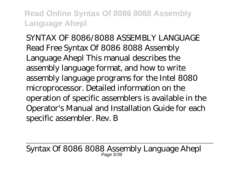SYNTAX OF 8086/8088 ASSEMBLY LANGUAGE Read Free Syntax Of 8086 8088 Assembly Language Ahepl This manual describes the assembly language format, and how to write assembly language programs for the Intel 8080 microprocessor. Detailed information on the operation of specific assemblers is available in the Operator's Manual and Installation Guide for each specific assembler. Rev. B

Syntax Of 8086 8088 Assembly Language Ahepl Page 5/39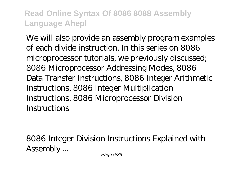We will also provide an assembly program examples of each divide instruction. In this series on 8086 microprocessor tutorials, we previously discussed; 8086 Microprocessor Addressing Modes, 8086 Data Transfer Instructions, 8086 Integer Arithmetic Instructions, 8086 Integer Multiplication Instructions. 8086 Microprocessor Division **Instructions** 

8086 Integer Division Instructions Explained with Assembly ...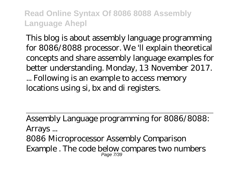This blog is about assembly language programming for 8086/8088 processor. We 'll explain theoretical concepts and share assembly language examples for better understanding. Monday, 13 November 2017.

... Following is an example to access memory locations using si, bx and di registers.

Assembly Language programming for 8086/8088: Arrays ... 8086 Microprocessor Assembly Comparison Example . The code below compares two numbers Page 7/39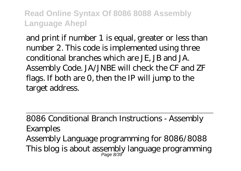and print if number 1 is equal, greater or less than number 2. This code is implemented using three conditional branches which are JE, JB and JA. Assembly Code. JA/JNBE will check the CF and ZF flags. If both are 0, then the IP will jump to the target address.

8086 Conditional Branch Instructions - Assembly Examples Assembly Language programming for 8086/8088 This blog is about assembly language programming Page 8/39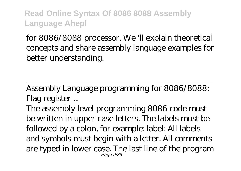for 8086/8088 processor. We 'll explain theoretical concepts and share assembly language examples for better understanding.

Assembly Language programming for 8086/8088: Flag register ...

The assembly level programming 8086 code must be written in upper case letters. The labels must be followed by a colon, for example: label: All labels and symbols must begin with a letter. All comments are typed in lower case. The last line of the program Page 9/39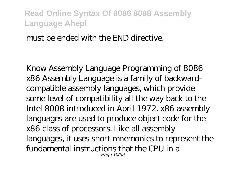#### must be ended with the END directive.

Know Assembly Language Programming of 8086 x86 Assembly Language is a family of backwardcompatible assembly languages, which provide some level of compatibility all the way back to the Intel 8008 introduced in April 1972. x86 assembly languages are used to produce object code for the x86 class of processors. Like all assembly languages, it uses short mnemonics to represent the fundamental instructions that the CPU in a Page 10/39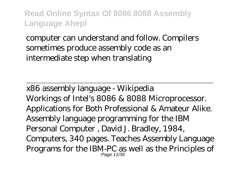computer can understand and follow. Compilers sometimes produce assembly code as an intermediate step when translating

x86 assembly language - Wikipedia Workings of Intel's 8086 & 8088 Microprocessor. Applications for Both Professional & Amateur Alike. Assembly language programming for the IBM Personal Computer , David J. Bradley, 1984, Computers, 340 pages. Teaches Assembly Language Programs for the IBM-PC as well as the Principles of Page 11/39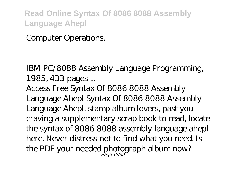### Computer Operations.

IBM PC/8088 Assembly Language Programming, 1985, 433 pages ...

Access Free Syntax Of 8086 8088 Assembly Language Ahepl Syntax Of 8086 8088 Assembly Language Ahepl. stamp album lovers, past you craving a supplementary scrap book to read, locate the syntax of 8086 8088 assembly language ahepl here. Never distress not to find what you need. Is the PDF your needed photograph album now? Page 12/39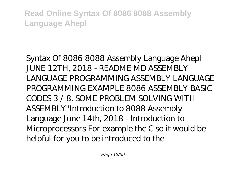Syntax Of 8086 8088 Assembly Language Ahepl JUNE 12TH, 2018 - README MD ASSEMBLY LANGUAGE PROGRAMMING ASSEMBLY LANGUAGE PROGRAMMING EXAMPLE 8086 ASSEMBLY BASIC CODES 3 / 8. SOME PROBLEM SOLVING WITH ASSEMBLY''Introduction to 8088 Assembly Language June 14th, 2018 - Introduction to Microprocessors For example the C so it would be helpful for you to be introduced to the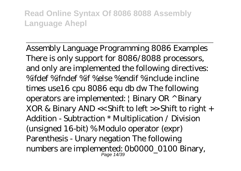Assembly Language Programming 8086 Examples There is only support for 8086/8088 processors, and only are implemented the following directives: %ifdef %ifndef %if %else %endif %include incline times use16 cpu 8086 equ db dw The following operators are implemented: | Binary OR ^ Binary XOR & Binary AND << Shift to left >> Shift to right + Addition - Subtraction \* Multiplication / Division (unsigned 16-bit) % Modulo operator (expr) Parenthesis - Unary negation The following numbers are implemented: 0b0000\_0100 Binary, Page 14/39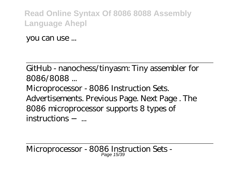you can use ...

GitHub - nanochess/tinyasm: Tiny assembler for 8086/8088 ... Microprocessor - 8086 Instruction Sets. Advertisements. Previous Page. Next Page . The

8086 microprocessor supports 8 types of instructions − ...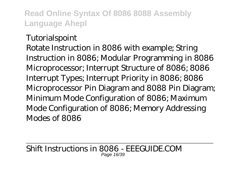#### **Tutorialspoint**

Rotate Instruction in 8086 with example; String Instruction in 8086; Modular Programming in 8086 Microprocessor; Interrupt Structure of 8086; 8086 Interrupt Types; Interrupt Priority in 8086; 8086 Microprocessor Pin Diagram and 8088 Pin Diagram; Minimum Mode Configuration of 8086; Maximum Mode Configuration of 8086; Memory Addressing Modes of 8086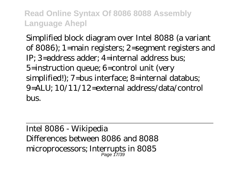Simplified block diagram over Intel 8088 (a variant of 8086); 1=main registers; 2=segment registers and IP; 3=address adder; 4=internal address bus; 5=instruction queue; 6=control unit (very simplified!); 7=bus interface; 8=internal databus; 9=ALU; 10/11/12=external address/data/control  $h$ <sub> $R$ </sub>

Intel 8086 - Wikipedia Differences between 8086 and 8088 microprocessors; Interrupts in 8085 Page 17/39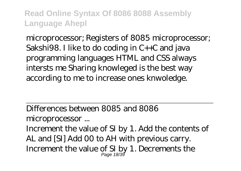microprocessor; Registers of 8085 microprocessor; Sakshi98. I like to do coding in C++C and java programming languages HTML and CSS always intersts me Sharing knowleged is the best way according to me to increase ones knwoledge.

Differences between 8085 and 8086

microprocessor ...

Increment the value of SI by 1. Add the contents of AL and [SI] Add 00 to AH with previous carry. Increment the value of SI by 1. Decrements the Page 18/39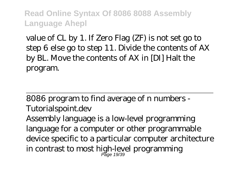value of CL by 1. If Zero Flag (ZF) is not set go to step 6 else go to step 11. Divide the contents of AX by BL. Move the contents of AX in [DI] Halt the program.

8086 program to find average of n numbers - Tutorialspoint.dev Assembly language is a low-level programming language for a computer or other programmable device specific to a particular computer architecture in contrast to most high-level programming Page 19/39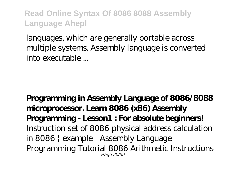languages, which are generally portable across multiple systems. Assembly language is converted into executable ...

**Programming in Assembly Language of 8086/8088 microprocessor. Learn 8086 (x86) Assembly Programming - Lesson1 : For absolute beginners!** *Instruction set of 8086* physical address calculation in 8086 | example | Assembly Language Programming Tutorial 8086 Arithmetic Instructions Page 20/39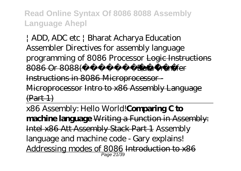| ADD, ADC etc | Bharat Acharya Education Assembler Directives for assembly language programming of 8086 Processor Logic Instructions  $8086$  Or  $8088$ ( $\longrightarrow$  Data Transfer Instructions in 8086 Microprocessor - Microprocessor Intro to x86 Assembly Language  $(Part 1)$ 

x86 Assembly: Hello World!**Comparing C to machine language** Writing a Function in Assembly: Intel x86 Att Assembly Stack Part 1 Assembly language and machine code - Gary explains! Addressing modes of 8086 Introduction to x86 Page 21/39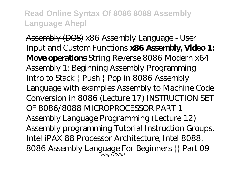Assembly (DOS) *x86 Assembly Language - User Input and Custom Functions* **x86 Assembly, Video 1: Move operations** *String Reverse 8086* Modern x64 Assembly 1: Beginning Assembly Programming Intro to Stack | Push | Pop in 8086 Assembly Language with examples Assembly to Machine Code Conversion in 8086 (Lecture 17) *INSTRUCTION SET OF 8086/8088 MICROPROCESSOR PART 1 Assembly Language Programming (Lecture 12)* Assembly programming Tutorial Instruction Groups, Intel iPAX 88 Processor Architecture, Intel 8088. 8086 Assembly Language For Beginners || Part 09 Page 22/39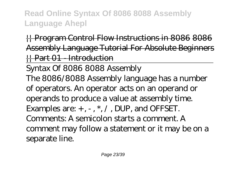**H** Program Control Flow Instructions in 8086 8086 Assembly Language Tutorial For Absolute Beginners || Part 01 - Introduction

Syntax Of 8086 8088 Assembly The 8086/8088 Assembly language has a number of operators. An operator acts on an operand or operands to produce a value at assembly time. Examples are:  $+$ ,  $-$ ,  $*$ ,  $/$ , DUP, and OFFSET. Comments: A semicolon starts a comment. A comment may follow a statement or it may be on a separate line.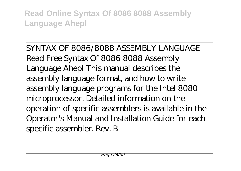SYNTAX OF 8086/8088 ASSEMBLY LANGUAGE Read Free Syntax Of 8086 8088 Assembly Language Ahepl This manual describes the assembly language format, and how to write assembly language programs for the Intel 8080 microprocessor. Detailed information on the operation of specific assemblers is available in the Operator's Manual and Installation Guide for each specific assembler. Rev. B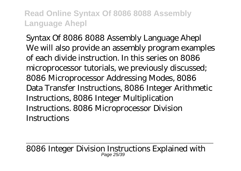Syntax Of 8086 8088 Assembly Language Ahepl We will also provide an assembly program examples of each divide instruction. In this series on 8086 microprocessor tutorials, we previously discussed; 8086 Microprocessor Addressing Modes, 8086 Data Transfer Instructions, 8086 Integer Arithmetic Instructions, 8086 Integer Multiplication Instructions. 8086 Microprocessor Division **Instructions** 

8086 Integer Division Instructions Explained with Page 25/39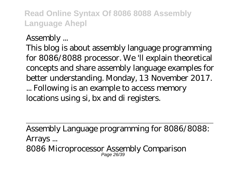Assembly ...

This blog is about assembly language programming for 8086/8088 processor. We 'll explain theoretical concepts and share assembly language examples for better understanding. Monday, 13 November 2017. ... Following is an example to access memory locations using si, bx and di registers.

Assembly Language programming for 8086/8088: Arrays ... 8086 Microprocessor Assembly Comparison Page 26/39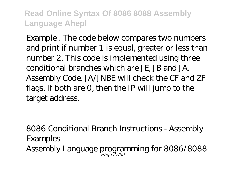Example . The code below compares two numbers and print if number 1 is equal, greater or less than number 2. This code is implemented using three conditional branches which are JE, JB and JA. Assembly Code. JA/JNBE will check the CF and ZF flags. If both are 0, then the IP will jump to the target address.

8086 Conditional Branch Instructions - Assembly Examples Assembly Language programming for 8086/8088 Page 27/39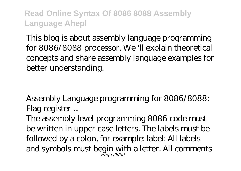This blog is about assembly language programming for 8086/8088 processor. We 'll explain theoretical concepts and share assembly language examples for better understanding.

Assembly Language programming for 8086/8088: Flag register ...

The assembly level programming 8086 code must be written in upper case letters. The labels must be followed by a colon, for example: label: All labels and symbols must begin with a letter. All comments Page 28/39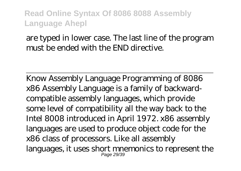### are typed in lower case. The last line of the program must be ended with the END directive.

Know Assembly Language Programming of 8086 x86 Assembly Language is a family of backwardcompatible assembly languages, which provide some level of compatibility all the way back to the Intel 8008 introduced in April 1972. x86 assembly languages are used to produce object code for the x86 class of processors. Like all assembly languages, it uses short mnemonics to represent the Page 29/39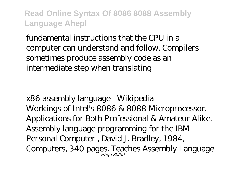fundamental instructions that the CPU in a computer can understand and follow. Compilers sometimes produce assembly code as an intermediate step when translating

x86 assembly language - Wikipedia Workings of Intel's 8086 & 8088 Microprocessor. Applications for Both Professional & Amateur Alike. Assembly language programming for the IBM Personal Computer , David J. Bradley, 1984, Computers, 340 pages. Teaches Assembly Language Page 30/39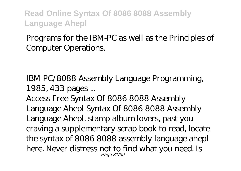## Programs for the IBM-PC as well as the Principles of Computer Operations.

IBM PC/8088 Assembly Language Programming, 1985, 433 pages ...

Access Free Syntax Of 8086 8088 Assembly Language Ahepl Syntax Of 8086 8088 Assembly Language Ahepl. stamp album lovers, past you craving a supplementary scrap book to read, locate the syntax of 8086 8088 assembly language ahepl here. Never distress not to find what you need. Is Page 31/39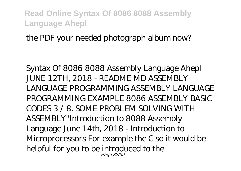the PDF your needed photograph album now?

Syntax Of 8086 8088 Assembly Language Ahepl JUNE 12TH, 2018 - README MD ASSEMBLY LANGUAGE PROGRAMMING ASSEMBLY LANGUAGE PROGRAMMING EXAMPLE 8086 ASSEMBLY BASIC CODES 3 / 8. SOME PROBLEM SOLVING WITH ASSEMBLY''Introduction to 8088 Assembly Language June 14th, 2018 - Introduction to Microprocessors For example the C so it would be helpful for you to be introduced to the Page 32/39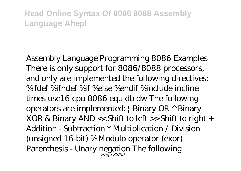Assembly Language Programming 8086 Examples There is only support for 8086/8088 processors, and only are implemented the following directives: %ifdef %ifndef %if %else %endif %include incline times use16 cpu 8086 equ db dw The following operators are implemented: | Binary OR ^ Binary XOR & Binary AND << Shift to left >> Shift to right + Addition - Subtraction \* Multiplication / Division (unsigned 16-bit) % Modulo operator (expr) Parenthesis - Unary negation The following Page 33/39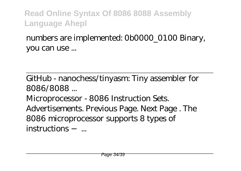numbers are implemented: 0b0000\_0100 Binary, you can use ...

GitHub - nanochess/tinyasm: Tiny assembler for 8086/8088 ...

Microprocessor - 8086 Instruction Sets. Advertisements. Previous Page. Next Page . The 8086 microprocessor supports 8 types of instructions − ...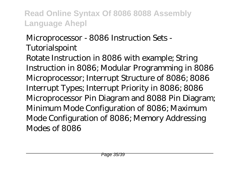# Microprocessor - 8086 Instruction Sets - **Tutorialspoint**

Rotate Instruction in 8086 with example; String Instruction in 8086; Modular Programming in 8086 Microprocessor; Interrupt Structure of 8086; 8086 Interrupt Types; Interrupt Priority in 8086; 8086 Microprocessor Pin Diagram and 8088 Pin Diagram; Minimum Mode Configuration of 8086; Maximum Mode Configuration of 8086; Memory Addressing Modes of 8086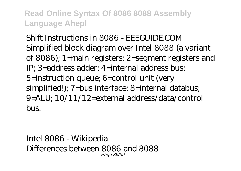Shift Instructions in 8086 - FFFCI IIDF COM Simplified block diagram over Intel 8088 (a variant of 8086); 1=main registers; 2=segment registers and IP; 3=address adder; 4=internal address bus; 5=instruction queue; 6=control unit (very simplified!); 7=bus interface; 8=internal databus; 9=ALU; 10/11/12=external address/data/control bus.

Intel 8086 - Wikipedia Differences between 8086 and 8088 Page 36/39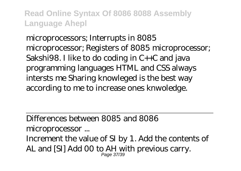microprocessors; Interrupts in 8085 microprocessor; Registers of 8085 microprocessor; Sakshi98. I like to do coding in C++C and java programming languages HTML and CSS always intersts me Sharing knowleged is the best way according to me to increase ones knwoledge.

Differences between 8085 and 8086 microprocessor ...

Increment the value of SI by 1. Add the contents of AL and [SI] Add 00 to AH with previous carry. Page 37/39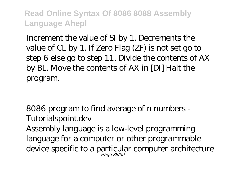Increment the value of SI by 1. Decrements the value of CL by 1. If Zero Flag (ZF) is not set go to step 6 else go to step 11. Divide the contents of AX by BL. Move the contents of AX in [DI] Halt the program.

8086 program to find average of n numbers - Tutorialspoint.dev Assembly language is a low-level programming language for a computer or other programmable device specific to a particular computer architecture Page 38/39